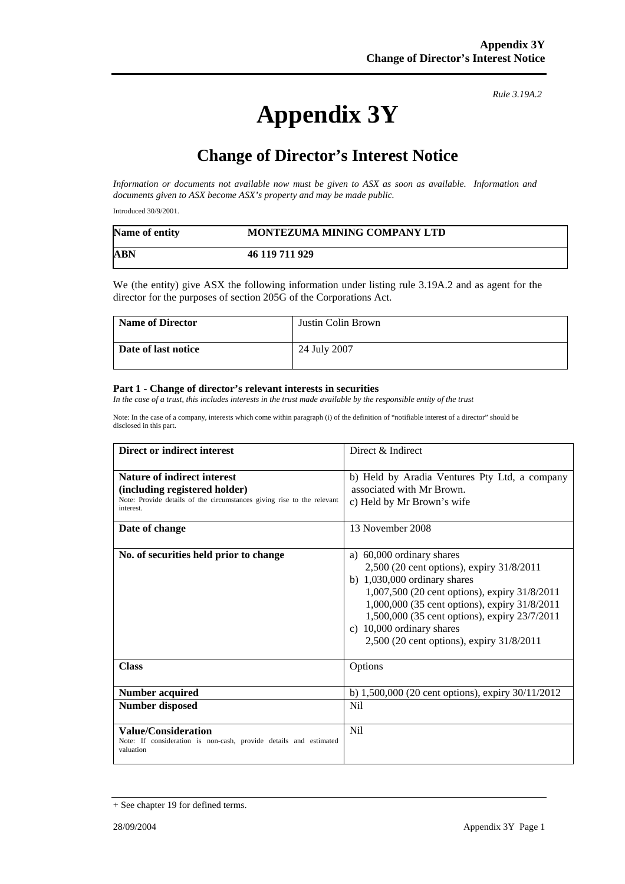## **Appendix 3Y**

*Rule 3.19A.2*

## 1B**Change of Director's Interest Notice**

*Information or documents not available now must be given to ASX as soon as available. Information and documents given to ASX become ASX's property and may be made public.* 

Introduced 30/9/2001.

| Name of entity | <b>MONTEZUMA MINING COMPANY LTD</b> |
|----------------|-------------------------------------|
| <b>ABN</b>     | 46 119 711 929                      |

We (the entity) give ASX the following information under listing rule 3.19A.2 and as agent for the director for the purposes of section 205G of the Corporations Act.

| <b>Name of Director</b> | Justin Colin Brown |
|-------------------------|--------------------|
| Date of last notice     | 24 July 2007       |

## **Part 1 - Change of director's relevant interests in securities**

*In the case of a trust, this includes interests in the trust made available by the responsible entity of the trust* 

Note: In the case of a company, interests which come within paragraph (i) of the definition of "notifiable interest of a director" should be disclosed in this part.

| Direct or indirect interest                                                                                                                                | Direct & Indirect                                                                                                                                                                                                                                                                                                                                     |
|------------------------------------------------------------------------------------------------------------------------------------------------------------|-------------------------------------------------------------------------------------------------------------------------------------------------------------------------------------------------------------------------------------------------------------------------------------------------------------------------------------------------------|
| <b>Nature of indirect interest</b><br>(including registered holder)<br>Note: Provide details of the circumstances giving rise to the relevant<br>interest. | b) Held by Aradia Ventures Pty Ltd, a company<br>associated with Mr Brown.<br>c) Held by Mr Brown's wife                                                                                                                                                                                                                                              |
| Date of change                                                                                                                                             | 13 November 2008                                                                                                                                                                                                                                                                                                                                      |
| No. of securities held prior to change                                                                                                                     | a) 60,000 ordinary shares<br>2,500 (20 cent options), expiry 31/8/2011<br>b) $1,030,000$ ordinary shares<br>1,007,500 (20 cent options), expiry 31/8/2011<br>1,000,000 (35 cent options), expiry 31/8/2011<br>1,500,000 (35 cent options), expiry 23/7/2011<br>10,000 ordinary shares<br>$\mathcal{C}$ )<br>2,500 (20 cent options), expiry 31/8/2011 |
| <b>Class</b>                                                                                                                                               | Options                                                                                                                                                                                                                                                                                                                                               |
| <b>Number acquired</b>                                                                                                                                     | b) $1,500,000$ (20 cent options), expiry $30/11/2012$                                                                                                                                                                                                                                                                                                 |
| <b>Number disposed</b>                                                                                                                                     | Nil                                                                                                                                                                                                                                                                                                                                                   |
| <b>Value/Consideration</b><br>Note: If consideration is non-cash, provide details and estimated<br>valuation                                               | N <sub>i</sub> l                                                                                                                                                                                                                                                                                                                                      |

<sup>+</sup> See chapter 19 for defined terms.